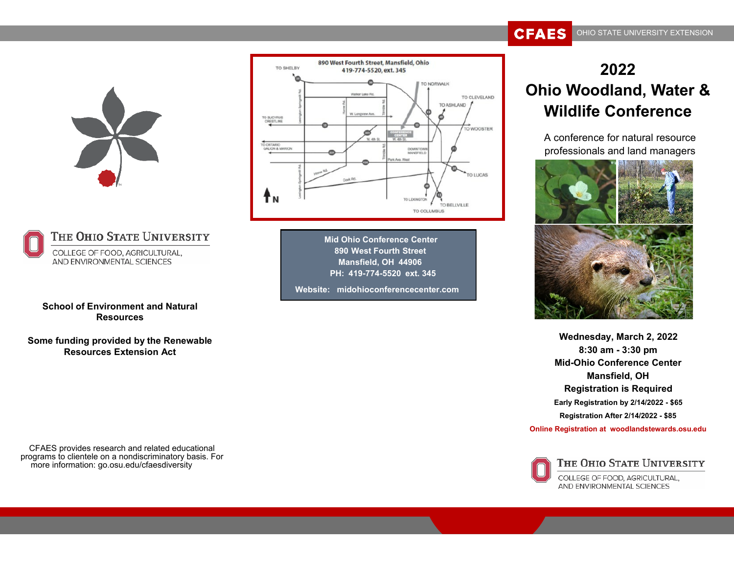

## THE OHIO STATE UNIVERSITY

COLLEGE OF FOOD, AGRICULTURAL, AND ENVIRONMENTAL SCIENCES

## **School of Environment and Natural Resources**

**Some funding provided by the Renewable Resources Extension Act**

CFAES provides research and related educational programs to clientele on a nondiscriminatory basis. For more information: go.osu.edu/cfaesdiversity



**Mid Ohio Conference Center 890 West Fourth Street Mansfield, OH 44906 PH: 419-774-5520 ext. 345 Website: midohioconferencecenter.com**

## **2022 Ohio Woodland, Water & Wildlife Conference**

A conference for natural resource professionals and land managers



**Wednesday, March 2, 2022 8:30 am - 3:30 pm Mid-Ohio Conference Center Mansfield, OH Registration is Required Early Registration by 2/14/2022 - \$65 Registration After 2/14/2022 - \$85 Online Registration at woodlandstewards.osu.edu**